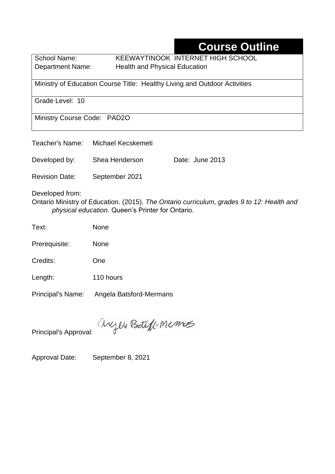## **Course Outline**

School Name: KEEWAYTINOOK INTERNET HIGH SCHOOL Department Name:Health and Physical Education

Ministry of Education Course Title:Healthy Living and Outdoor Activities

Grade Level: 10

Ministry Course Code: PAD2O

| Teacher's Name:       | Michael Kecskemeti |                 |
|-----------------------|--------------------|-----------------|
| Developed by:         | Shea Henderson     | Date: June 2013 |
| <b>Revision Date:</b> | September 2021     |                 |

Developed from:

Ontario Ministry of Education. (2015). *The Ontario curriculum, grades 9 to 12: Health and physical education.* Queen's Printer for Ontario.

Text: None

Prerequisite: None

Credits: One

Length: 110 hours

Principal's Name: Angela Batsford-Mermans

anyen Boteff-Memos

Principal's Approval:

Approval Date: September 8, 2021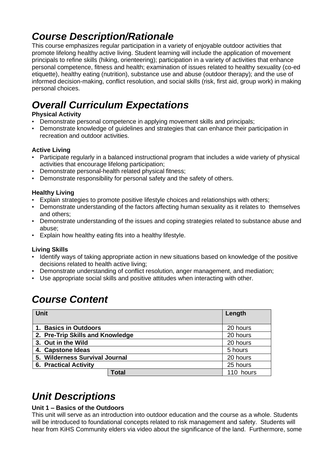## *Course Description/Rationale*

This course emphasizes regular participation in a variety of enjoyable outdoor activities that promote lifelong healthy active living. Student learning will include the application of movement principals to refine skills (hiking, orienteering); participation in a variety of activities that enhance personal competence, fitness and health; examination of issues related to healthy sexuality (co-ed etiquette), healthy eating (nutrition), substance use and abuse (outdoor therapy); and the use of informed decision-making, conflict resolution, and social skills (risk, first aid, group work) in making personal choices.

# *Overall Curriculum Expectations*

#### **Physical Activity**

- Demonstrate personal competence in applying movement skills and principals;
- Demonstrate knowledge of guidelines and strategies that can enhance their participation in recreation and outdoor activities.

#### **Active Living**

- Participate regularly in a balanced instructional program that includes a wide variety of physical activities that encourage lifelong participation;
- Demonstrate personal-health related physical fitness;
- Demonstrate responsibility for personal safety and the safety of others.

#### **Healthy Living**

- Explain strategies to promote positive lifestyle choices and relationships with others;
- Demonstrate understanding of the factors affecting human sexuality as it relates to themselves and others;
- Demonstrate understanding of the issues and coping strategies related to substance abuse and abuse;
- Explain how healthy eating fits into a healthy lifestyle.

#### **Living Skills**

- Identify ways of taking appropriate action in new situations based on knowledge of the positive decisions related to health active living;
- Demonstrate understanding of conflict resolution, anger management, and mediation;
- Use appropriate social skills and positive attitudes when interacting with other.

## *Course Content*

| <b>Unit</b>                      |              | Length    |
|----------------------------------|--------------|-----------|
| 1. Basics in Outdoors            | 20 hours     |           |
| 2. Pre-Trip Skills and Knowledge |              | 20 hours  |
| 3. Out in the Wild               |              | 20 hours  |
| 4. Capstone Ideas                |              | 5 hours   |
| 5. Wilderness Survival Journal   |              | 20 hours  |
| <b>6. Practical Activity</b>     |              | 25 hours  |
|                                  | <b>Total</b> | 110 hours |

## *Unit Descriptions*

#### **Unit 1 – Basics of the Outdoors**

This unit will serve as an introduction into outdoor education and the course as a whole. Students will be introduced to foundational concepts related to risk management and safety. Students will hear from KiHS Community elders via video about the significance of the land. Furthermore, some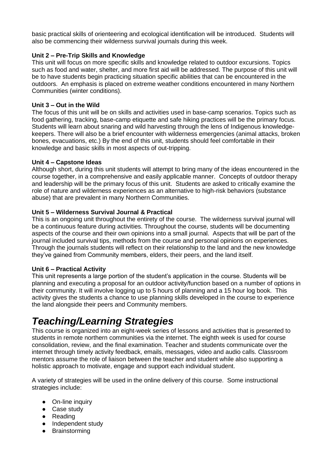basic practical skills of orienteering and ecological identification will be introduced. Students will also be commencing their wilderness survival journals during this week.

#### **Unit 2 – Pre-Trip Skills and Knowledge**

This unit will focus on more specific skills and knowledge related to outdoor excursions. Topics such as food and water, shelter, and more first aid will be addressed. The purpose of this unit will be to have students begin practicing situation specific abilities that can be encountered in the outdoors. An emphasis is placed on extreme weather conditions encountered in many Northern Communities (winter conditions).

#### **Unit 3 – Out in the Wild**

The focus of this unit will be on skills and activities used in base-camp scenarios. Topics such as food gathering, tracking, base-camp etiquette and safe hiking practices will be the primary focus. Students will learn about snaring and wild harvesting through the lens of Indigenous knowledgekeepers. There will also be a brief encounter with wilderness emergencies (animal attacks, broken bones, evacuations, etc.) By the end of this unit, students should feel comfortable in their knowledge and basic skills in most aspects of out-tripping.

#### **Unit 4 – Capstone Ideas**

Although short, during this unit students will attempt to bring many of the ideas encountered in the course together, in a comprehensive and easily applicable manner. Concepts of outdoor therapy and leadership will be the primary focus of this unit. Students are asked to critically examine the role of nature and wilderness experiences as an alternative to high-risk behaviors (substance abuse) that are prevalent in many Northern Communities.

#### **Unit 5 – Wilderness Survival Journal & Practical**

This is an ongoing unit throughout the entirety of the course. The wilderness survival journal will be a continuous feature during activities. Throughout the course, students will be documenting aspects of the course and their own opinions into a small journal. Aspects that will be part of the journal included survival tips, methods from the course and personal opinions on experiences. Through the journals students will reflect on their relationship to the land and the new knowledge they've gained from Community members, elders, their peers, and the land itself.

#### **Unit 6 – Practical Activity**

This unit represents a large portion of the student's application in the course. Students will be planning and executing a proposal for an outdoor activity/function based on a number of options in their community. It will involve logging up to 5 hours of planning and a 15 hour log book. This activity gives the students a chance to use planning skills developed in the course to experience the land alongside their peers and Community members.

### *Teaching/Learning Strategies*

This course is organized into an eight-week series of lessons and activities that is presented to students in remote northern communities via the internet. The eighth week is used for course consolidation, review, and the final examination. Teacher and students communicate over the internet through timely activity feedback, emails, messages, video and audio calls. Classroom mentors assume the role of liaison between the teacher and student while also supporting a holistic approach to motivate, engage and support each individual student.

A variety of strategies will be used in the online delivery of this course. Some instructional strategies include:

- On-line inquiry
- Case study
- Reading
- Independent study
- Brainstorming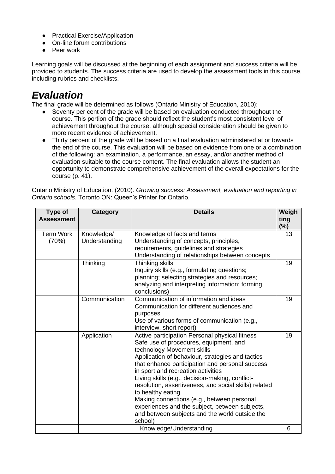- Practical Exercise/Application
- On-line forum contributions
- Peer work

Learning goals will be discussed at the beginning of each assignment and success criteria will be provided to students. The success criteria are used to develop the assessment tools in this course, including rubrics and checklists.

## *Evaluation*

The final grade will be determined as follows (Ontario Ministry of Education, 2010):

- Seventy per cent of the grade will be based on evaluation conducted throughout the course. This portion of the grade should reflect the student's most consistent level of achievement throughout the course, although special consideration should be given to more recent evidence of achievement.
- Thirty percent of the grade will be based on a final evaluation administered at or towards the end of the course. This evaluation will be based on evidence from one or a combination of the following: an examination, a performance, an essay, and/or another method of evaluation suitable to the course content. The final evaluation allows the student an opportunity to demonstrate comprehensive achievement of the overall expectations for the course (p. 41).

Ontario Ministry of Education. (2010). *Growing success: Assessment, evaluation and reporting in Ontario schools*. Toronto ON: Queen's Printer for Ontario.

| Type of<br><b>Assessment</b> | <b>Category</b>             | <b>Details</b>                                                                                                                                                                                                                                                                                                                                                                                                                                                                                                                                                    | Weigh<br>ting<br>$(\%)$ |
|------------------------------|-----------------------------|-------------------------------------------------------------------------------------------------------------------------------------------------------------------------------------------------------------------------------------------------------------------------------------------------------------------------------------------------------------------------------------------------------------------------------------------------------------------------------------------------------------------------------------------------------------------|-------------------------|
| <b>Term Work</b><br>(70%)    | Knowledge/<br>Understanding | Knowledge of facts and terms<br>Understanding of concepts, principles,<br>requirements, guidelines and strategies<br>Understanding of relationships between concepts                                                                                                                                                                                                                                                                                                                                                                                              | 13                      |
|                              | Thinking                    | Thinking skills<br>Inquiry skills (e.g., formulating questions;<br>planning; selecting strategies and resources;<br>analyzing and interpreting information; forming<br>conclusions)                                                                                                                                                                                                                                                                                                                                                                               | 19                      |
|                              | Communication               | Communication of information and ideas<br>Communication for different audiences and<br>purposes<br>Use of various forms of communication (e.g.,<br>interview, short report)                                                                                                                                                                                                                                                                                                                                                                                       | 19                      |
|                              | Application                 | Active participation Personal physical fitness<br>Safe use of procedures, equipment, and<br>technology Movement skills<br>Application of behaviour, strategies and tactics<br>that enhance participation and personal success<br>in sport and recreation activities<br>Living skills (e.g., decision-making, conflict-<br>resolution, assertiveness, and social skills) related<br>to healthy eating<br>Making connections (e.g., between personal<br>experiences and the subject, between subjects,<br>and between subjects and the world outside the<br>school) | 19                      |
|                              |                             | Knowledge/Understanding                                                                                                                                                                                                                                                                                                                                                                                                                                                                                                                                           | 6                       |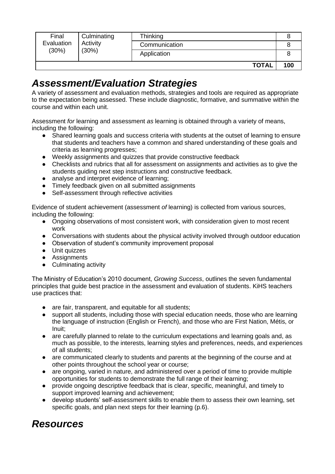| Final<br>Evaluation<br>(30%) | Culminating<br>Activity<br>(30%) | Thinking      |     |
|------------------------------|----------------------------------|---------------|-----|
|                              |                                  | Communication |     |
|                              |                                  | Application   |     |
|                              |                                  | <b>TOTAL</b>  | 100 |

### *Assessment/Evaluation Strategies*

A variety of assessment and evaluation methods, strategies and tools are required as appropriate to the expectation being assessed. These include diagnostic, formative, and summative within the course and within each unit.

Assessment *for* learning and assessment *as* learning is obtained through a variety of means, including the following:

- Shared learning goals and success criteria with students at the outset of learning to ensure that students and teachers have a common and shared understanding of these goals and criteria as learning progresses;
- Weekly assignments and quizzes that provide constructive feedback
- Checklists and rubrics that all for assessment on assignments and activities as to give the students guiding next step instructions and constructive feedback.
- analyse and interpret evidence of learning;
- Timely feedback given on all submitted assignments
- Self-assessment through reflective activities

Evidence of student achievement (assessment *of* learning) is collected from various sources, including the following:

- Ongoing observations of most consistent work, with consideration given to most recent work
- Conversations with students about the physical activity involved through outdoor education
- Observation of student's community improvement proposal
- Unit quizzes
- Assignments
- Culminating activity

The Ministry of Education's 2010 document, *Growing Success*, outlines the seven fundamental principles that guide best practice in the assessment and evaluation of students. KiHS teachers use practices that:

- are fair, transparent, and equitable for all students;
- support all students, including those with special education needs, those who are learning the language of instruction (English or French), and those who are First Nation, Métis, or Inuit;
- are carefully planned to relate to the curriculum expectations and learning goals and, as much as possible, to the interests, learning styles and preferences, needs, and experiences of all students;
- are communicated clearly to students and parents at the beginning of the course and at other points throughout the school year or course;
- are ongoing, varied in nature, and administered over a period of time to provide multiple opportunities for students to demonstrate the full range of their learning;
- provide ongoing descriptive feedback that is clear, specific, meaningful, and timely to support improved learning and achievement;
- develop students' self-assessment skills to enable them to assess their own learning, set specific goals, and plan next steps for their learning (p.6).

### *Resources*